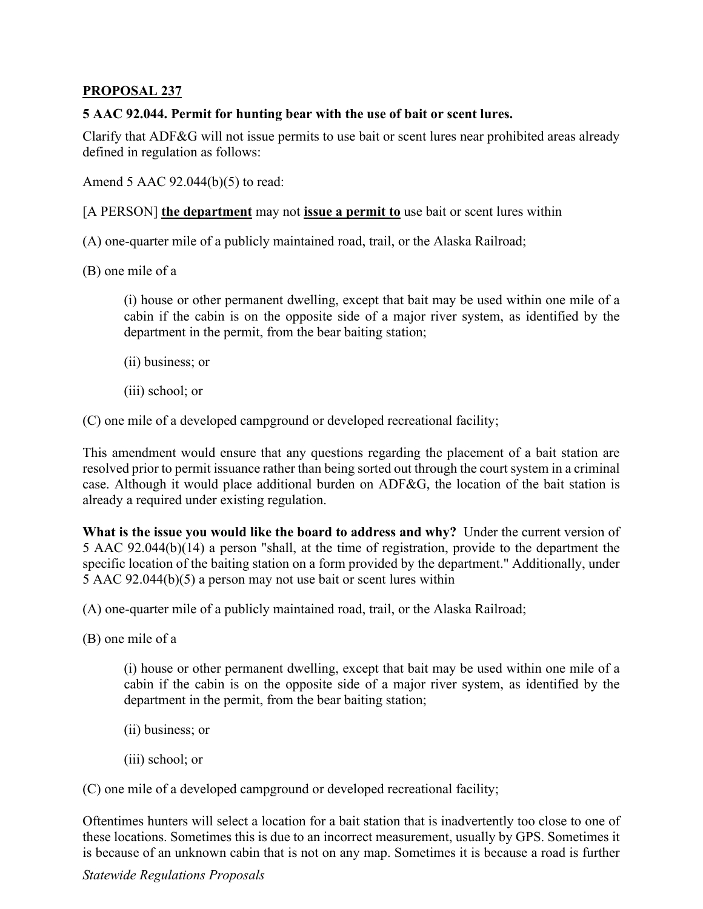## **PROPOSAL 237**

## **5 AAC 92.044. Permit for hunting bear with the use of bait or scent lures.**

Clarify that ADF&G will not issue permits to use bait or scent lures near prohibited areas already defined in regulation as follows:

Amend 5 AAC 92.044(b)(5) to read:

[A PERSON] **the department** may not **issue a permit to** use bait or scent lures within

(A) one-quarter mile of a publicly maintained road, trail, or the Alaska Railroad;

(B) one mile of a

 cabin if the cabin is on the opposite side of a major river system, as identified by the (i) house or other permanent dwelling, except that bait may be used within one mile of a department in the permit, from the bear baiting station;

- (ii) business; or
- (iii) school; or

(C) one mile of a developed campground or developed recreational facility;

This amendment would ensure that any questions regarding the placement of a bait station are resolved prior to permit issuance rather than being sorted out through the court system in a criminal case. Although it would place additional burden on ADF&G, the location of the bait station is already a required under existing regulation.

What is the issue you would like the board to address and why? Under the current version of 5 AAC 92.044(b)(14) a person "shall, at the time of registration, provide to the department the specific location of the baiting station on a form provided by the department." Additionally, under 5 AAC 92.044(b)(5) a person may not use bait or scent lures within

(A) one-quarter mile of a publicly maintained road, trail, or the Alaska Railroad;

(B) one mile of a

 cabin if the cabin is on the opposite side of a major river system, as identified by the (i) house or other permanent dwelling, except that bait may be used within one mile of a department in the permit, from the bear baiting station;

- (ii) business; or
- (iii) school; or

(C) one mile of a developed campground or developed recreational facility;

 is because of an unknown cabin that is not on any map. Sometimes it is because a road is further Oftentimes hunters will select a location for a bait station that is inadvertently too close to one of these locations. Sometimes this is due to an incorrect measurement, usually by GPS. Sometimes it